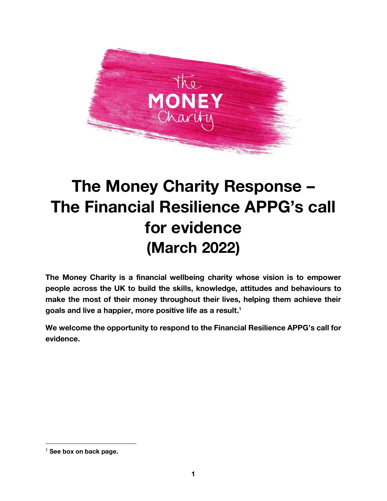

## The Money Charity Response – The Financial Resilience APPG's call for evidence (March 2022)

The Money Charity is a financial wellbeing charity whose vision is to empower people across the UK to build the skills, knowledge, attitudes and behaviours to make the most of their money throughout their lives, helping them achieve their goals and live a happier, more positive life as a result. 1

We welcome the opportunity to respond to the Financial Resilience APPG's call for evidence.

 $1$  See box on back page.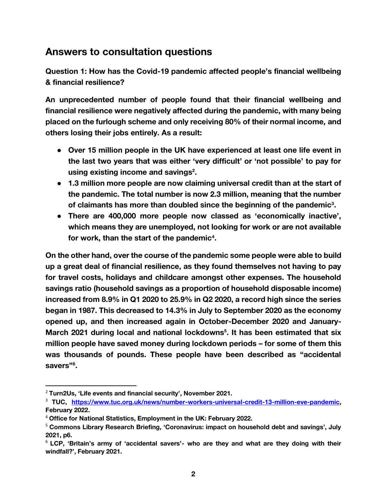## **Answers to consultation questions**

**Question 1**: **How has the Covid-19 pandemic affected people's financial wellbeing & financial resilience?**

An unprecedented number of people found that their financial wellbeing and financial resilience were negatively affected during the pandemic, with many being placed on the furlough scheme and only receiving 80% of their normal income, and others losing their jobs entirely. As a result:

- Over 15 million people in the UK have experienced at least one life event in the last two years that was either 'very difficult' or 'not possible' to pay for using existing income and savings<sup>2</sup>.
- 1.3 million more people are now claiming universal credit than at the start of the pandemic. The total number is now 2.3 million, meaning that the number of claimants has more than doubled since the beginning of the pandemic<sup>3</sup>.
- There are 400,000 more people now classed as 'economically inactive', which means they are unemployed, not looking for work or are not available for work, than the start of the pandemic<sup>4</sup>.

On the other hand, over the course of the pandemic some people were able to build up a great deal of financial resilience, as they found themselves not having to pay for travel costs, holidays and childcare amongst other expenses. The household savings ratio (household savings as a proportion of household disposable income) increased from 8.9% in Q1 2020 to 25.9% in Q2 2020, a record high since the series began in 1987. This decreased to 14.3% in July to September 2020 as the economy opened up, and then increased again in October-December 2020 and January-March 2021 during local and national lockdowns<sup>5</sup>. It has been estimated that six million people have saved money during lockdown periods – for some of them this was thousands of pounds. These people have been described as "accidental savers"<sup>6</sup>.

 $2$  Turn2Us, 'Life events and financial security', November 2021.

<sup>3</sup> TUC, [https://www.tuc.org.uk/news/number-workers-universal-credit-13-million-eve-pandemic,](https://www.tuc.org.uk/news/number-workers-universal-credit-13-million-eve-pandemic) February 2022.

<sup>&</sup>lt;sup>4</sup> Office for National Statistics, Employment in the UK: February 2022.

<sup>&</sup>lt;sup>5</sup> Commons Library Research Briefing, 'Coronavirus: impact on household debt and savings', July 2021, p6.

 $6$  LCP, 'Britain's army of 'accidental savers'- who are they and what are they doing with their windfall?', February 2021.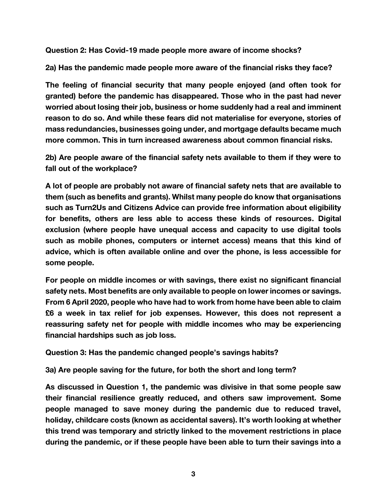**Question 2**: Has Covid-19 made people more aware of income shocks?

**2a)** Has the pandemic made people more aware of the financial risks they face?

The feeling of financial security that many people enjoyed (and often took for granted) before the pandemic has disappeared. Those who in the past had never worried about losing their job, business or home suddenly had a real and imminent reason to do so. And while these fears did not materialise for everyone, stories of mass redundancies, businesses going under, and mortgage defaults became much more common. This in turn increased awareness about common financial risks.

**2b)** Are people aware of the financial safety nets available to them if they were to fall out of the workplace?

A lot of people are probably not aware of financial safety nets that are available to them (such as benefits and grants). Whilst many people do know that organisations such as Turn2Us and Citizens Advice can provide free information about eligibility for benefits, others are less able to access these kinds of resources. Digital exclusion (where people have unequal access and capacity to use digital tools such as mobile phones, computers or internet access) means that this kind of advice, which is often available online and over the phone, is less accessible for some people.

For people on middle incomes or with savings, there exist no significant financial safety nets. Most benefits are only available to people on lower incomes or savings. From 6 April 2020, people who have had to work from home have been able to claim £6 a week in tax relief for job expenses. However, this does not represent a reassuring safety net for people with middle incomes who may be experiencing financial hardships such as job loss.

**Question 3**: Has the pandemic changed people's savings habits?

**3a**) Are people saving for the future, for both the short and long term?

As discussed in Question 1, the pandemic was divisive in that some people saw their financial resilience greatly reduced, and others saw improvement. Some people managed to save money during the pandemic due to reduced travel, holiday, childcare costs (known as accidental savers). It's worth looking at whether this trend was temporary and strictly linked to the movement restrictions in place during the pandemic, or if these people have been able to turn their savings into a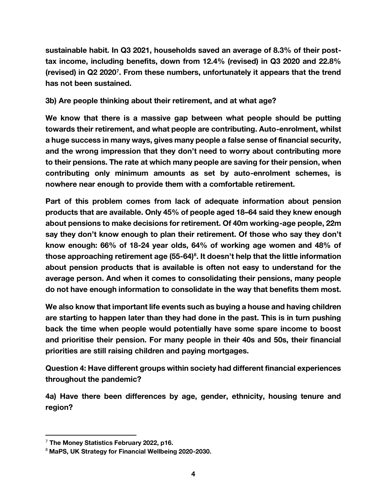sustainable habit. In Q3 2021, households saved an average of 8.3% of their posttax income, including benefits, down from 12.4% (revised) in Q3 2020 and 22.8% (revised) in Q2 2020<sup>7</sup> . From these numbers, unfortunately it appears that the trend has not been sustained.

## **3b)** Are people thinking about their retirement, and at what age?

We know that there is a massive gap between what people should be putting towards their retirement, and what people are contributing. Auto-enrolment, whilst a huge success in many ways, gives many people a false sense of financial security, and the wrong impression that they don't need to worry about contributing more to their pensions. The rate at which many people are saving for their pension, when contributing only minimum amounts as set by auto-enrolment schemes, is nowhere near enough to provide them with a comfortable retirement.

Part of this problem comes from lack of adequate information about pension products that are available. Only 45% of people aged 18–64 said they knew enough about pensions to make decisions for retirement. Of 40m working-age people, 22m say they don't know enough to plan their retirement. Of those who say they don't know enough: 66% of 18-24 year olds, 64% of working age women and 48% of those approaching retirement age (55-64)<sup>8</sup>. It doesn't help that the little information about pension products that is available is often not easy to understand for the average person. And when it comes to consolidating their pensions, many people do not have enough information to consolidate in the way that benefits them most.

We also know that important life events such as buying a house and having children are starting to happen later than they had done in the past. This is in turn pushing back the time when people would potentially have some spare income to boost and prioritise their pension. For many people in their 40s and 50s, their financial priorities are still raising children and paying mortgages.

**Question 4:** Have different groups within society had different financial experiences throughout the pandemic?

**4a)** Have there been differences by age, gender, ethnicity, housing tenure and region?

 $7$  The Money Statistics February 2022, p16.

<sup>8</sup> MaPS, UK Strategy for Financial Wellbeing 2020-2030.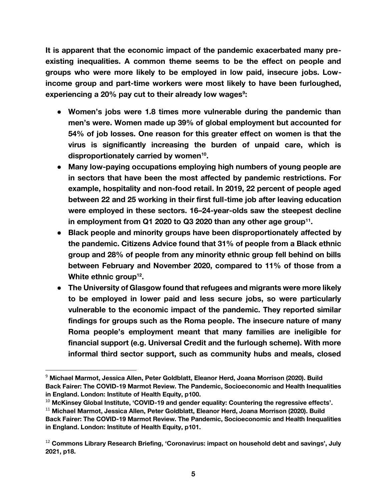It is apparent that the economic impact of the pandemic exacerbated many preexisting inequalities. A common theme seems to be the effect on people and groups who were more likely to be employed in low paid, insecure jobs. Lowincome group and part-time workers were most likely to have been furloughed, experiencing a 20% pay cut to their already low wages $^{\circ}$ :

- Women's jobs were 1.8 times more vulnerable during the pandemic than men's were. Women made up 39% of global employment but accounted for 54% of job losses. One reason for this greater effect on women is that the virus is significantly increasing the burden of unpaid care, which is disproportionately carried by women<sup>10</sup>.
- Many low-paying occupations employing high numbers of young people are in sectors that have been the most affected by pandemic restrictions. For example, hospitality and non-food retail. In 2019, 22 percent of people aged between 22 and 25 working in their first full-time job after leaving education were employed in these sectors. 16–24-year-olds saw the steepest decline in employment from Q1 2020 to Q3 2020 than any other age group<sup>11</sup>.
- Black people and minority groups have been disproportionately affected by the pandemic. Citizens Advice found that 31% of people from a Black ethnic group and 28% of people from any minority ethnic group fell behind on bills between February and November 2020, compared to 11% of those from a White ethnic group<sup>12</sup>.
- The University of Glasgow found that refugees and migrants were more likely to be employed in lower paid and less secure jobs, so were particularly vulnerable to the economic impact of the pandemic. They reported similar findings for groups such as the Roma people. The insecure nature of many Roma people's employment meant that many families are ineligible for financial support (e.g. Universal Credit and the furlough scheme). With more informal third sector support, such as community hubs and meals, closed

<sup>&</sup>lt;sup>9</sup> Michael Marmot, Jessica Allen, Peter Goldblatt, Eleanor Herd, Joana Morrison (2020). Build Back Fairer: The COVID-19 Marmot Review. The Pandemic, Socioeconomic and Health Inequalities in England. London: Institute of Health Equity, p100.

 $10$  McKinsey Global Institute, 'COVID-19 and gender equality: Countering the regressive effects'.

<sup>11</sup> Michael Marmot, Jessica Allen, Peter Goldblatt, Eleanor Herd, Joana Morrison (2020). Build Back Fairer: The COVID-19 Marmot Review. The Pandemic, Socioeconomic and Health Inequalities in England. London: Institute of Health Equity, p101.

 $12$  Commons Library Research Briefing, 'Coronavirus: impact on household debt and savings', July 2021, p18.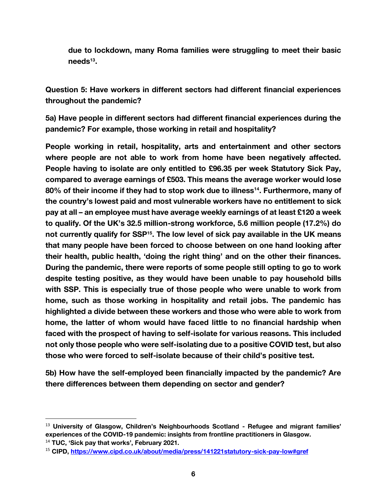due to lockdown, many Roma families were struggling to meet their basic needs<sup>13</sup>.

**Question 5**: Have workers in different sectors had different financial experiences throughout the pandemic?

**5a)** Have people in different sectors had different financial experiences during the pandemic? For example, those working in retail and hospitality?

People working in retail, hospitality, arts and entertainment and other sectors where people are not able to work from home have been negatively affected. People having to isolate are only entitled to £96.35 per week Statutory Sick Pay, compared to average earnings of £503. This means the average worker would lose 80% of their income if they had to stop work due to illness<sup>14</sup>. Furthermore, many of the country's lowest paid and most vulnerable workers have no entitlement to sick pay at all – an employee must have average weekly earnings of at least £120 a week to qualify. Of the UK's 32.5 million-strong workforce, 5.6 million people (17.2%) do not currently qualify for SSP<sup>15</sup>. The low level of sick pay available in the UK means that many people have been forced to choose between on one hand looking after their health, public health, 'doing the right thing' and on the other their finances. During the pandemic, there were reports of some people still opting to go to work despite testing positive, as they would have been unable to pay household bills with SSP. This is especially true of those people who were unable to work from home, such as those working in hospitality and retail jobs. The pandemic has highlighted a divide between these workers and those who were able to work from home, the latter of whom would have faced little to no financial hardship when faced with the prospect of having to self-isolate for various reasons. This included not only those people who were self-isolating due to a positive COVID test, but also those who were forced to self-isolate because of their child's positive test.

**5b)** How have the self-employed been financially impacted by the pandemic? Are there differences between them depending on sector and gender?

 $13$  University of Glasgow, Children's Neighbourhoods Scotland - Refugee and migrant families' experiences of the COVID-19 pandemic: insights from frontline practitioners in Glasgow.

 $14$  TUC, 'Sick pay that works', February 2021.

<sup>15</sup> CIPD,<https://www.cipd.co.uk/about/media/press/141221statutory-sick-pay-low#gref>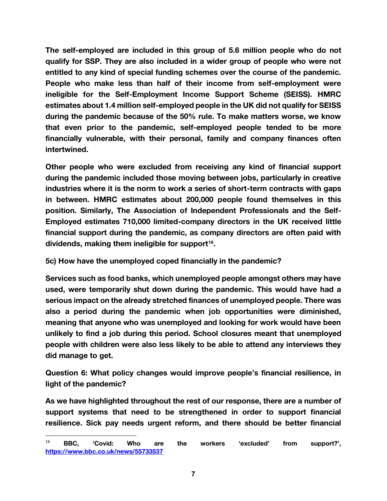The self-employed are included in this group of 5.6 million people who do not qualify for SSP. They are also included in a wider group of people who were not entitled to any kind of special funding schemes over the course of the pandemic. People who make less than half of their income from self-employment were ineligible for the Self-Employment Income Support Scheme (SEISS). HMRC estimates about 1.4 million self-employed people in the UK did not qualify for SEISS during the pandemic because of the 50% rule. To make matters worse, we know that even prior to the pandemic, self-employed people tended to be more financially vulnerable, with their personal, family and company finances often intertwined.

Other people who were excluded from receiving any kind of financial support during the pandemic included those moving between jobs, particularly in creative industries where it is the norm to work a series of short-term contracts with gaps in between. HMRC estimates about 200,000 people found themselves in this position. Similarly, The Association of Independent Professionals and the Self-Employed estimates 710,000 limited-company directors in the UK received little financial support during the pandemic, as company directors are often paid with dividends, making them ineligible for support $^{16}$ .

**5c)** How have the unemployed coped financially in the pandemic?

Services such as food banks, which unemployed people amongst others may have used, were temporarily shut down during the pandemic. This would have had a serious impact on the already stretched finances of unemployed people. There was also a period during the pandemic when job opportunities were diminished, meaning that anyone who was unemployed and looking for work would have been unlikely to find a job during this period. School closures meant that unemployed people with children were also less likely to be able to attend any interviews they did manage to get.

**Question 6**: What policy changes would improve people's financial resilience, in light of the pandemic?

As we have highlighted throughout the rest of our response, there are a number of support systems that need to be strengthened in order to support financial resilience. Sick pay needs urgent reform, and there should be better financial

 $^{16}$  BBC, 'Covid: Who are the workers 'excluded' from support?', <https://www.bbc.co.uk/news/55733537>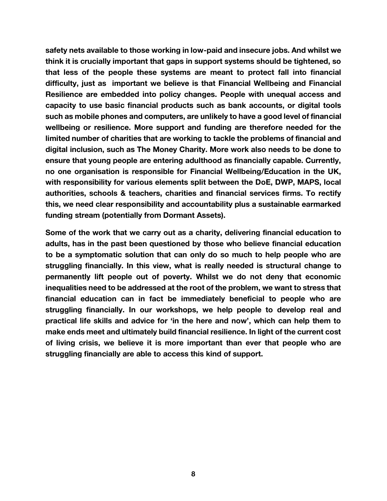safety nets available to those working in low-paid and insecure jobs. And whilst we think it is crucially important that gaps in support systems should be tightened, so that less of the people these systems are meant to protect fall into financial difficulty, just as important we believe is that Financial Wellbeing and Financial Resilience are embedded into policy changes. People with unequal access and capacity to use basic financial products such as bank accounts, or digital tools such as mobile phones and computers, are unlikely to have a good level of financial wellbeing or resilience. More support and funding are therefore needed for the limited number of charities that are working to tackle the problems of financial and digital inclusion, such as The Money Charity. More work also needs to be done to ensure that young people are entering adulthood as financially capable. Currently, no one organisation is responsible for Financial Wellbeing/Education in the UK, with responsibility for various elements split between the DoE, DWP, MAPS, local authorities, schools & teachers, charities and financial services firms. To rectify this, we need clear responsibility and accountability plus a sustainable earmarked funding stream (potentially from Dormant Assets).

Some of the work that we carry out as a charity, delivering financial education to adults, has in the past been questioned by those who believe financial education to be a symptomatic solution that can only do so much to help people who are struggling financially. In this view, what is really needed is structural change to permanently lift people out of poverty. Whilst we do not deny that economic inequalities need to be addressed at the root of the problem, we want to stress that financial education can in fact be immediately beneficial to people who are struggling financially. In our workshops, we help people to develop real and practical life skills and advice for 'in the here and now', which can help them to make ends meet and ultimately build financial resilience. In light of the current cost of living crisis, we believe it is more important than ever that people who are struggling financially are able to access this kind of support.